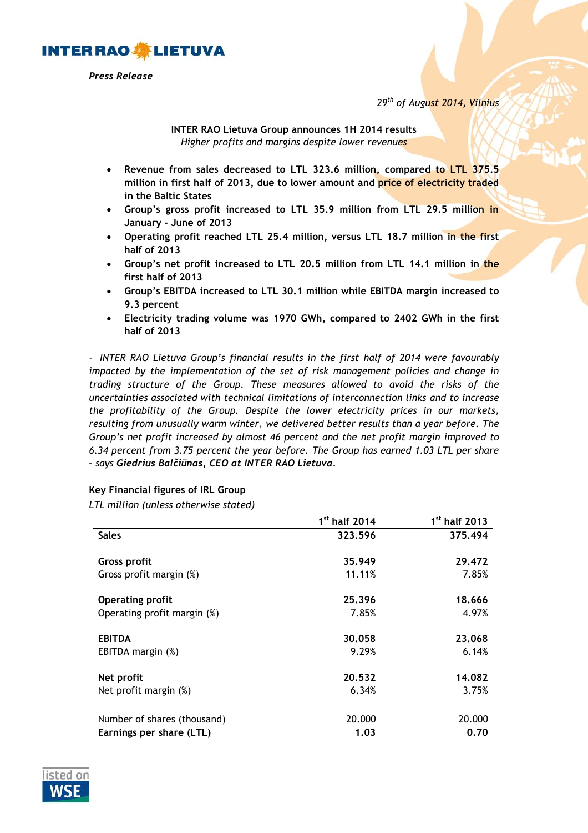

*Press Release*

*29th of August 2014, Vilnius*

**INTER RAO Lietuva Group announces 1H 2014 results** *Higher profits and margins despite lower revenues*

- **Revenue from sales decreased to LTL 323.6 million, compared to LTL 375.5 million in first half of 2013, due to lower amount and price of electricity traded in the Baltic States**
- **Group's gross profit increased to LTL 35.9 million from LTL 29.5 million in January - June of 2013**
- **Operating profit reached LTL 25.4 million, versus LTL 18.7 million in the first half of 2013**
- **Group's net profit increased to LTL 20.5 million from LTL 14.1 million in the first half of 2013**
- **Group's EBITDA increased to LTL 30.1 million while EBITDA margin increased to 9.3 percent**
- **Electricity trading volume was 1970 GWh, compared to 2402 GWh in the first half of 2013**

*- INTER RAO Lietuva Group's financial results in the first half of 2014 were favourably impacted by the implementation of the set of risk management policies and change in trading structure of the Group. These measures allowed to avoid the risks of the uncertainties associated with technical limitations of interconnection links and to increase the profitability of the Group. Despite the lower electricity prices in our markets, resulting from unusually warm winter, we delivered better results than a year before. The Group's net profit increased by almost 46 percent and the net profit margin improved to 6.34 percent from 3.75 percent the year before. The Group has earned 1.03 LTL per share – says Giedrius Balčiūnas, CEO at INTER RAO Lietuva.*

## **Key Financial figures of IRL Group**

*LTL million (unless otherwise stated)* 

|                             | $1st$ half 2014 | 1 <sup>st</sup> half 2013 |
|-----------------------------|-----------------|---------------------------|
| <b>Sales</b>                | 323.596         | 375.494                   |
| <b>Gross profit</b>         | 35.949          | 29.472                    |
| Gross profit margin (%)     | 11.11%          | 7.85%                     |
| <b>Operating profit</b>     | 25.396          | 18.666                    |
| Operating profit margin (%) | 7.85%           | 4.97%                     |
| <b>EBITDA</b>               | 30.058          | 23.068                    |
| EBITDA margin (%)           | 9.29%           | 6.14%                     |
| Net profit                  | 20.532          | 14.082                    |
| Net profit margin (%)       | 6.34%           | 3.75%                     |
| Number of shares (thousand) | 20.000          | 20.000                    |
| Earnings per share (LTL)    | 1.03            | 0.70                      |

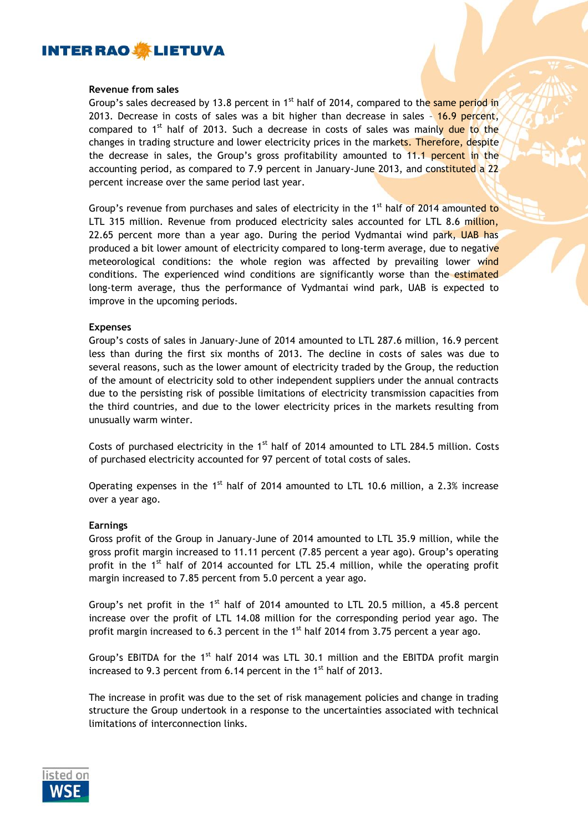

## **Revenue from sales**

Group's sales decreased by 13.8 percent in  $1<sup>st</sup>$  half of 2014, compared to the same period in 2013. Decrease in costs of sales was a bit higher than decrease in sales - 16.9 percent, compared to  $1<sup>st</sup>$  half of 2013. Such a decrease in costs of sales was mainly due to the changes in trading structure and lower electricity prices in the markets. Therefore, despite the decrease in sales, the Group's gross profitability amounted to 11.1 percent in the accounting period, as compared to 7.9 percent in January-June 2013, and constituted a 22 percent increase over the same period last year.

Group's revenue from purchases and sales of electricity in the  $1<sup>st</sup>$  half of 2014 amounted to LTL 315 million. Revenue from produced electricity sales accounted for LTL 8.6 million, 22.65 percent more than a year ago. During the period Vydmantai wind park, UAB has produced a bit lower amount of electricity compared to long-term average, due to negative meteorological conditions: the whole region was affected by prevailing lower wind conditions. The experienced wind conditions are significantly worse than the estimated long-term average, thus the performance of Vydmantai wind park, UAB is expected to improve in the upcoming periods.

## **Expenses**

Group's costs of sales in January-June of 2014 amounted to LTL 287.6 million, 16.9 percent less than during the first six months of 2013. The decline in costs of sales was due to several reasons, such as the lower amount of electricity traded by the Group, the reduction of the amount of electricity sold to other independent suppliers under the annual contracts due to the persisting risk of possible limitations of electricity transmission capacities from the third countries, and due to the lower electricity prices in the markets resulting from unusually warm winter.

Costs of purchased electricity in the  $1<sup>st</sup>$  half of 2014 amounted to LTL 284.5 million. Costs of purchased electricity accounted for 97 percent of total costs of sales.

Operating expenses in the  $1<sup>st</sup>$  half of 2014 amounted to LTL 10.6 million, a 2.3% increase over a year ago.

## **Earnings**

Gross profit of the Group in January-June of 2014 amounted to LTL 35.9 million, while the gross profit margin increased to 11.11 percent (7.85 percent a year ago). Group's operating profit in the 1<sup>st</sup> half of 2014 accounted for LTL 25.4 million, while the operating profit margin increased to 7.85 percent from 5.0 percent a year ago.

Group's net profit in the  $1<sup>st</sup>$  half of 2014 amounted to LTL 20.5 million, a 45.8 percent increase over the profit of LTL 14.08 million for the corresponding period year ago. The profit margin increased to 6.3 percent in the  $1<sup>st</sup>$  half 2014 from 3.75 percent a year ago.

Group's EBITDA for the 1<sup>st</sup> half 2014 was LTL 30.1 million and the EBITDA profit margin increased to 9.3 percent from  $6.14$  percent in the  $1<sup>st</sup>$  half of 2013.

The increase in profit was due to the set of risk management policies and change in trading structure the Group undertook in a response to the uncertainties associated with technical limitations of interconnection links.